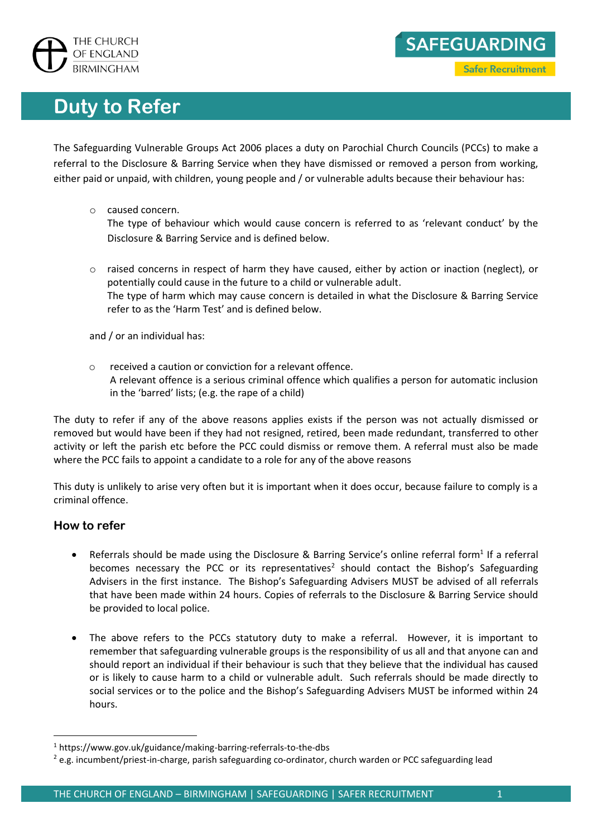

## **Duty to Refer**

The Safeguarding Vulnerable Groups Act 2006 places a duty on Parochial Church Councils (PCCs) to make a referral to the Disclosure & Barring Service when they have dismissed or removed a person from working, either paid or unpaid, with children, young people and / or vulnerable adults because their behaviour has:

o caused concern.

The type of behaviour which would cause concern is referred to as 'relevant conduct' by the Disclosure & Barring Service and is defined below.

 $\circ$  raised concerns in respect of harm they have caused, either by action or inaction (neglect), or potentially could cause in the future to a child or vulnerable adult. The type of harm which may cause concern is detailed in what the Disclosure & Barring Service refer to as the 'Harm Test' and is defined below.

and / or an individual has:

 $\circ$  received a caution or conviction for a relevant offence. A relevant offence is a serious criminal offence which qualifies a person for automatic inclusion in the 'barred' lists; (e.g. the rape of a child)

The duty to refer if any of the above reasons applies exists if the person was not actually dismissed or removed but would have been if they had not resigned, retired, been made redundant, transferred to other activity or left the parish etc before the PCC could dismiss or remove them. A referral must also be made where the PCC fails to appoint a candidate to a role for any of the above reasons

This duty is unlikely to arise very often but it is important when it does occur, because failure to comply is a criminal offence.

## **How to refer**

1

- Referrals should be made using the Disclosure & Barring Service's online referral form<sup>1</sup> If a referral becomes necessary the PCC or its representatives<sup>2</sup> should contact the Bishop's Safeguarding Advisers in the first instance. The Bishop's Safeguarding Advisers MUST be advised of all referrals that have been made within 24 hours. Copies of referrals to the Disclosure & Barring Service should be provided to local police.
- The above refers to the PCCs statutory duty to make a referral. However, it is important to remember that safeguarding vulnerable groups is the responsibility of us all and that anyone can and should report an individual if their behaviour is such that they believe that the individual has caused or is likely to cause harm to a child or vulnerable adult. Such referrals should be made directly to social services or to the police and the Bishop's Safeguarding Advisers MUST be informed within 24 hours.

SAFEGUARDING

**Safer Recruitment** 

<sup>1</sup> https://www.gov.uk/guidance/making-barring-referrals-to-the-dbs

<sup>&</sup>lt;sup>2</sup> e.g. incumbent/priest-in-charge, parish safeguarding co-ordinator, church warden or PCC safeguarding lead